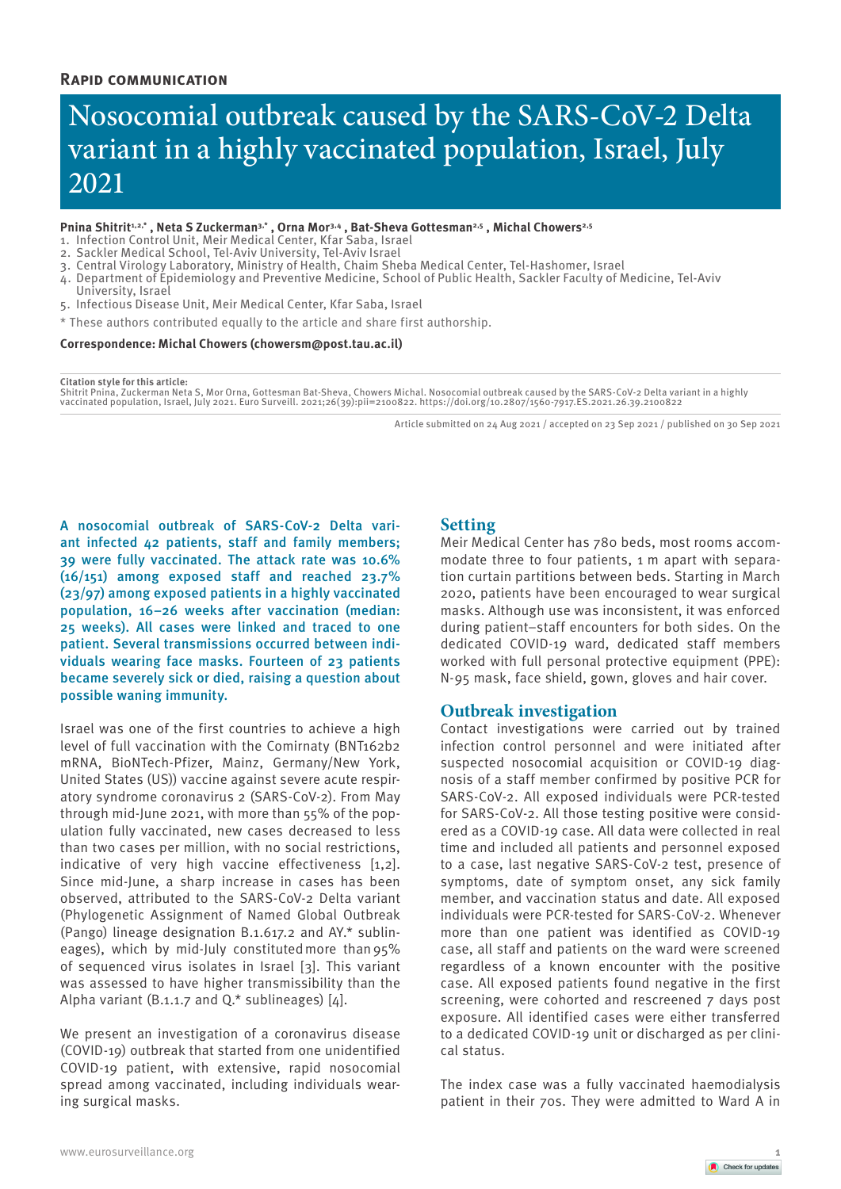# **Rapid communication**

# Nosocomial outbreak caused by the SARS-CoV-2 Delta variant in a highly vaccinated population, Israel, July 2021

## Pnina Shitrit<sup>1,2,\*</sup>, Neta S Zuckerman<sup>3,\*</sup>, Orna Mor<sup>3,4</sup>, Bat-Sheva Gottesman<sup>2,5</sup>, Michal Chowers<sup>2,5</sup>

- 1. Infection Control Unit, Meir Medical Center, Kfar Saba, Israel
- 2. Sackler Medical School, Tel-Aviv University, Tel-Aviv Israel
- 3. Central Virology Laboratory, Ministry of Health, Chaim Sheba Medical Center, Tel-Hashomer, Israel
- 4. Department of Epidemiology and Preventive Medicine, School of Public Health, Sackler Faculty of Medicine, Tel-Aviv University, Israel
- 5. Infectious Disease Unit, Meir Medical Center, Kfar Saba, Israel
- \* These authors contributed equally to the article and share first authorship.

#### **Correspondence: Michal Chowers (chowersm@post.tau.ac.il)**

**Citation style for this article:**

Shitrit Pnina, Zuckerman Neta S, Mor Orna, Gottesman Bat-Sheva, Chowers Michal. Nosocomial outbreak caused by the SARS-CoV-2 Delta variant in a highly vaccinated population, Israel, July 2021. Euro Surveill. 2021;26(39):pii=2100822. https://doi.org/10.2807/1560-7917.ES.2021.26.39.2100822

Article submitted on 24 Aug 2021 / accepted on 23 Sep 2021 / published on 30 Sep 2021

A nosocomial outbreak of SARS-CoV-2 Delta variant infected 42 patients, staff and family members; 39 were fully vaccinated. The attack rate was 10.6% (16/151) among exposed staff and reached 23.7% (23/97) among exposed patients in a highly vaccinated population, 16–26 weeks after vaccination (median: 25 weeks). All cases were linked and traced to one patient. Several transmissions occurred between individuals wearing face masks. Fourteen of 23 patients became severely sick or died, raising a question about possible waning immunity.

Israel was one of the first countries to achieve a high level of full vaccination with the Comirnaty (BNT162b2 mRNA, BioNTech-Pfizer, Mainz, Germany/New York, United States (US)) vaccine against severe acute respiratory syndrome coronavirus 2 (SARS-CoV-2). From May through mid-June 2021, with more than 55% of the population fully vaccinated, new cases decreased to less than two cases per million, with no social restrictions, indicative of very high vaccine effectiveness [1,2]. Since mid-June, a sharp increase in cases has been observed, attributed to the SARS-CoV-2 Delta variant (Phylogenetic Assignment of Named Global Outbreak (Pango) lineage designation B.1.617.2 and AY.\* sublineages), which by mid-July constituted more than 95% of sequenced virus isolates in Israel [3]. This variant was assessed to have higher transmissibility than the Alpha variant (B.1.1.7 and Q.\* sublineages) [4].

We present an investigation of a coronavirus disease (COVID-19) outbreak that started from one unidentified COVID-19 patient, with extensive, rapid nosocomial spread among vaccinated, including individuals wearing surgical masks.

# **Setting**

Meir Medical Center has 780 beds, most rooms accommodate three to four patients, 1 m apart with separation curtain partitions between beds. Starting in March 2020, patients have been encouraged to wear surgical masks. Although use was inconsistent, it was enforced during patient–staff encounters for both sides. On the dedicated COVID-19 ward, dedicated staff members worked with full personal protective equipment (PPE): N-95 mask, face shield, gown, gloves and hair cover.

## **Outbreak investigation**

Contact investigations were carried out by trained infection control personnel and were initiated after suspected nosocomial acquisition or COVID-19 diagnosis of a staff member confirmed by positive PCR for SARS-CoV-2. All exposed individuals were PCR-tested for SARS-CoV-2. All those testing positive were considered as a COVID-19 case. All data were collected in real time and included all patients and personnel exposed to a case, last negative SARS-CoV-2 test, presence of symptoms, date of symptom onset, any sick family member, and vaccination status and date. All exposed individuals were PCR-tested for SARS-CoV-2. Whenever more than one patient was identified as COVID-19 case, all staff and patients on the ward were screened regardless of a known encounter with the positive case. All exposed patients found negative in the first screening, were cohorted and rescreened 7 days post exposure. All identified cases were either transferred to a dedicated COVID-19 unit or discharged as per clinical status.

The index case was a fully vaccinated haemodialysis patient in their 70s. They were admitted to Ward A in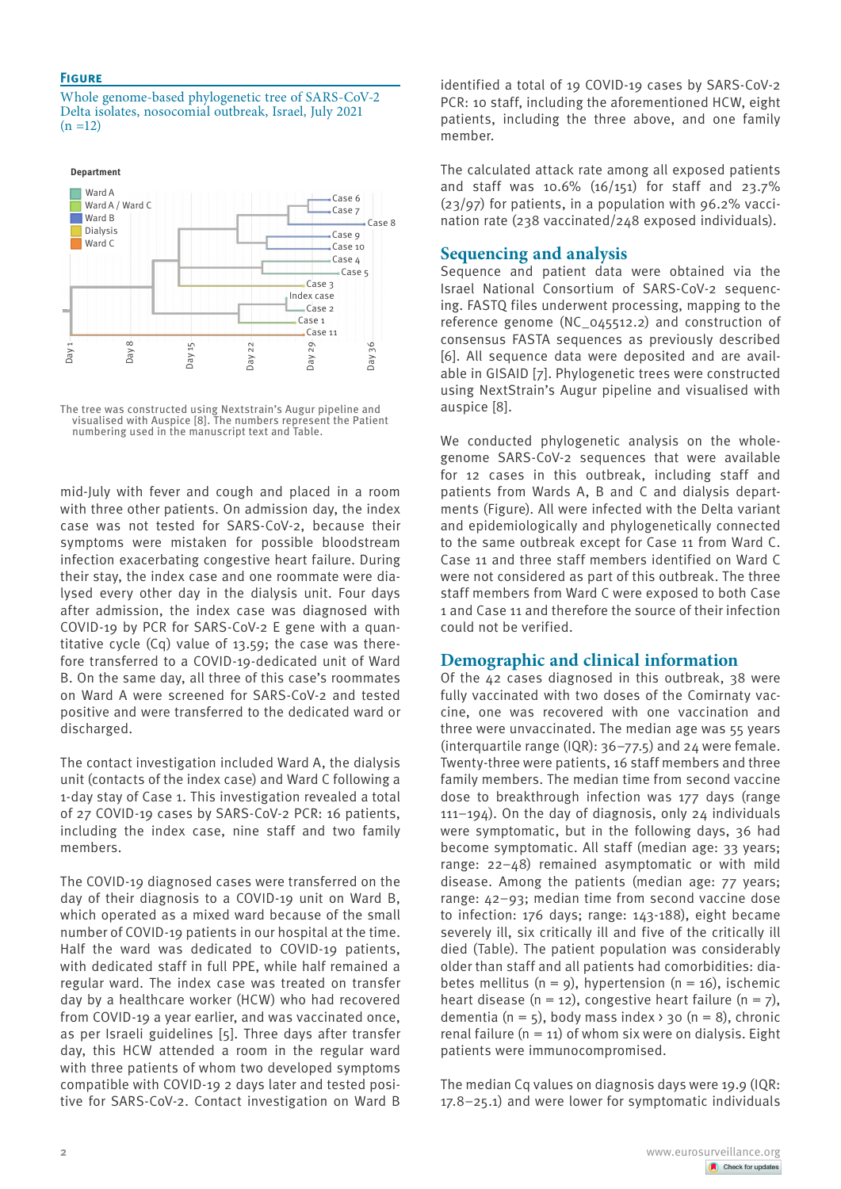## **Figure**

Whole genome-based phylogenetic tree of SARS-CoV-2 Delta isolates, nosocomial outbreak, Israel, July 2021  $(n = 12)$ 



The tree was constructed using Nextstrain's Augur pipeline and visualised with Auspice [8]. The numbers represent the Patient numbering used in the manuscript text and Table.

mid-July with fever and cough and placed in a room with three other patients. On admission day, the index case was not tested for SARS-CoV-2, because their symptoms were mistaken for possible bloodstream infection exacerbating congestive heart failure. During their stay, the index case and one roommate were dialysed every other day in the dialysis unit. Four days after admission, the index case was diagnosed with COVID-19 by PCR for SARS-CoV-2 E gene with a quantitative cycle (Cq) value of 13.59; the case was therefore transferred to a COVID-19-dedicated unit of Ward B. On the same day, all three of this case's roommates on Ward A were screened for SARS-CoV-2 and tested positive and were transferred to the dedicated ward or discharged.

The contact investigation included Ward A, the dialysis unit (contacts of the index case) and Ward C following a 1-day stay of Case 1. This investigation revealed a total of 27 COVID-19 cases by SARS-CoV-2 PCR: 16 patients, including the index case, nine staff and two family members.

The COVID-19 diagnosed cases were transferred on the day of their diagnosis to a COVID-19 unit on Ward B, which operated as a mixed ward because of the small number of COVID-19 patients in our hospital at the time. Half the ward was dedicated to COVID-19 patients, with dedicated staff in full PPE, while half remained a regular ward. The index case was treated on transfer day by a healthcare worker (HCW) who had recovered from COVID-19 a year earlier, and was vaccinated once, as per Israeli guidelines [5]. Three days after transfer day, this HCW attended a room in the regular ward with three patients of whom two developed symptoms compatible with COVID-19 2 days later and tested positive for SARS-CoV-2. Contact investigation on Ward B

identified a total of 19 COVID-19 cases by SARS-CoV-2 PCR: 10 staff, including the aforementioned HCW, eight patients, including the three above, and one family member.

The calculated attack rate among all exposed patients and staff was 10.6%  $(16/151)$  for staff and 23.7% (23/97) for patients, in a population with 96.2% vaccination rate (238 vaccinated/248 exposed individuals).

# **Sequencing and analysis**

Sequence and patient data were obtained via the Israel National Consortium of SARS-CoV-2 sequencing. FASTQ files underwent processing, mapping to the reference genome (NC\_045512.2) and construction of consensus FASTA sequences as previously described [6]. All sequence data were deposited and are available in GISAID [7]. Phylogenetic trees were constructed using NextStrain's Augur pipeline and visualised with auspice [8].

We conducted phylogenetic analysis on the wholegenome SARS-CoV-2 sequences that were available for 12 cases in this outbreak, including staff and patients from Wards A, B and C and dialysis departments (Figure). All were infected with the Delta variant and epidemiologically and phylogenetically connected to the same outbreak except for Case 11 from Ward C. Case 11 and three staff members identified on Ward C were not considered as part of this outbreak. The three staff members from Ward C were exposed to both Case 1 and Case 11 and therefore the source of their infection could not be verified.

# **Demographic and clinical information**

Of the 42 cases diagnosed in this outbreak, 38 were fully vaccinated with two doses of the Comirnaty vaccine, one was recovered with one vaccination and three were unvaccinated. The median age was 55 years (interquartile range (IQR): 36–77.5) and 24 were female. Twenty-three were patients, 16 staff members and three family members. The median time from second vaccine dose to breakthrough infection was 177 days (range 111–194). On the day of diagnosis, only 24 individuals were symptomatic, but in the following days, 36 had become symptomatic. All staff (median age: 33 years; range: 22–48) remained asymptomatic or with mild disease. Among the patients (median age: 77 years; range: 42–93; median time from second vaccine dose to infection: 176 days; range: 143-188), eight became severely ill, six critically ill and five of the critically ill died (Table). The patient population was considerably older than staff and all patients had comorbidities: diabetes mellitus ( $n = 9$ ), hypertension ( $n = 16$ ), ischemic heart disease (n = 12), congestive heart failure (n =  $7$ ), dementia (n = 5), body mass index  $\rightarrow$  30 (n = 8), chronic renal failure  $(n = 11)$  of whom six were on dialysis. Eight patients were immunocompromised.

The median Cq values on diagnosis days were 19.9 (IQR: 17.8–25.1) and were lower for symptomatic individuals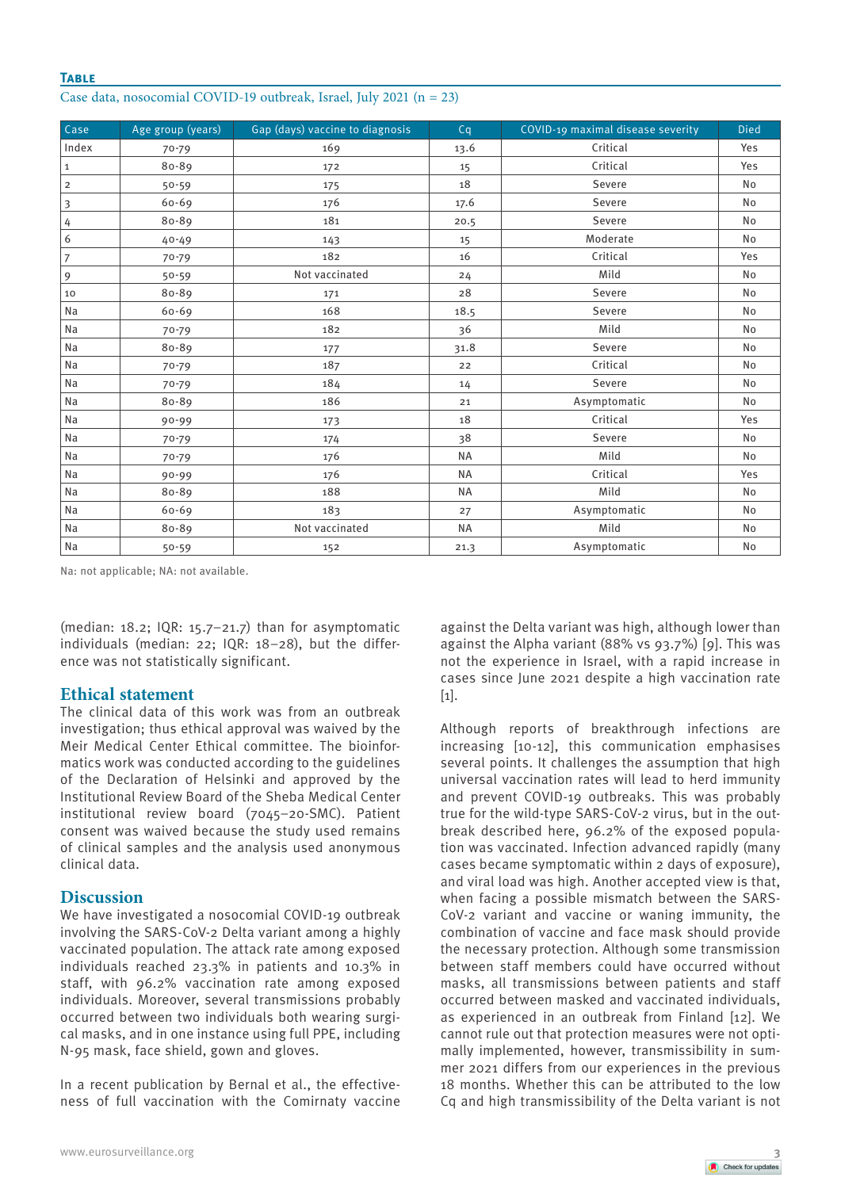## **Table**

| Case data, nosocomial COVID-19 outbreak, Israel, July 2021 (n = 23) |  |  |  |  |
|---------------------------------------------------------------------|--|--|--|--|
|---------------------------------------------------------------------|--|--|--|--|

| Case           | Age group (years) | Gap (days) vaccine to diagnosis | Cq        | COVID-19 maximal disease severity | <b>Died</b> |
|----------------|-------------------|---------------------------------|-----------|-----------------------------------|-------------|
| Index          | 70-79             | 169                             | 13.6      | Critical                          | Yes         |
| $\mathbf{1}$   | 80-89             | 172                             | 15        | Critical                          | Yes         |
| $\overline{2}$ | $50 - 59$         | 175                             | 18        | Severe                            | <b>No</b>   |
| 3              | $60 - 69$         | 176                             | 17.6      | Severe                            | <b>No</b>   |
| 4              | 80-89             | 181                             | 20.5      | Severe                            | <b>No</b>   |
| 6              | $40 - 49$         | 143                             | 15        | Moderate                          | <b>No</b>   |
| $\overline{7}$ | $70 - 79$         | 182                             | 16        | Critical                          | Yes         |
| 9              | $50 - 59$         | Not vaccinated                  | 24        | Mild                              | No          |
| 10             | 80-89             | 171                             | 28        | Severe                            | <b>No</b>   |
| Na             | $60 - 69$         | 168                             | 18.5      | Severe                            | <b>No</b>   |
| Na             | 70-79             | 182                             | 36        | Mild                              | <b>No</b>   |
| Na             | 80-89             | 177                             | 31.8      | Severe                            | <b>No</b>   |
| Na             | $70 - 79$         | 187                             | 22        | Critical                          | <b>No</b>   |
| Na             | $70 - 79$         | 184                             | 14        | Severe                            | <b>No</b>   |
| Na             | 80-89             | 186                             | 21        | Asymptomatic                      | No          |
| Na             | $90 - 99$         | 173                             | 18        | Critical                          | Yes         |
| Na             | $70 - 79$         | 174                             | 38        | Severe                            | <b>No</b>   |
| Na             | $70 - 79$         | 176                             | <b>NA</b> | Mild                              | <b>No</b>   |
| Na             | $90 - 99$         | 176                             | <b>NA</b> | Critical                          | Yes         |
| Na             | 80-89             | 188                             | <b>NA</b> | Mild                              | <b>No</b>   |
| Na             | 60-69             | 183                             | 27        | Asymptomatic                      | <b>No</b>   |
| Na             | 80-89             | Not vaccinated                  | <b>NA</b> | Mild                              | No          |
| Na             | $50 - 59$         | 152                             | 21.3      | Asymptomatic                      | No          |

Na: not applicable; NA: not available.

(median: 18.2; IQR: 15.7–21.7) than for asymptomatic individuals (median: 22; IQR: 18–28), but the difference was not statistically significant.

## **Ethical statement**

The clinical data of this work was from an outbreak investigation; thus ethical approval was waived by the Meir Medical Center Ethical committee. The bioinformatics work was conducted according to the guidelines of the Declaration of Helsinki and approved by the Institutional Review Board of the Sheba Medical Center institutional review board (7045–20-SMC). Patient consent was waived because the study used remains of clinical samples and the analysis used anonymous clinical data.

## **Discussion**

We have investigated a nosocomial COVID-19 outbreak involving the SARS-CoV-2 Delta variant among a highly vaccinated population. The attack rate among exposed individuals reached 23.3% in patients and 10.3% in staff, with 96.2% vaccination rate among exposed individuals. Moreover, several transmissions probably occurred between two individuals both wearing surgical masks, and in one instance using full PPE, including N-95 mask, face shield, gown and gloves.

In a recent publication by Bernal et al., the effectiveness of full vaccination with the Comirnaty vaccine

against the Delta variant was high, although lower than against the Alpha variant (88% vs 93.7%) [9]. This was not the experience in Israel, with a rapid increase in cases since June 2021 despite a high vaccination rate [1].

Although reports of breakthrough infections are increasing [10-12], this communication emphasises several points. It challenges the assumption that high universal vaccination rates will lead to herd immunity and prevent COVID-19 outbreaks. This was probably true for the wild-type SARS-CoV-2 virus, but in the outbreak described here, 96.2% of the exposed population was vaccinated. Infection advanced rapidly (many cases became symptomatic within 2 days of exposure), and viral load was high. Another accepted view is that, when facing a possible mismatch between the SARS-CoV-2 variant and vaccine or waning immunity, the combination of vaccine and face mask should provide the necessary protection. Although some transmission between staff members could have occurred without masks, all transmissions between patients and staff occurred between masked and vaccinated individuals, as experienced in an outbreak from Finland [12]. We cannot rule out that protection measures were not optimally implemented, however, transmissibility in summer 2021 differs from our experiences in the previous 18 months. Whether this can be attributed to the low Cq and high transmissibility of the Delta variant is not